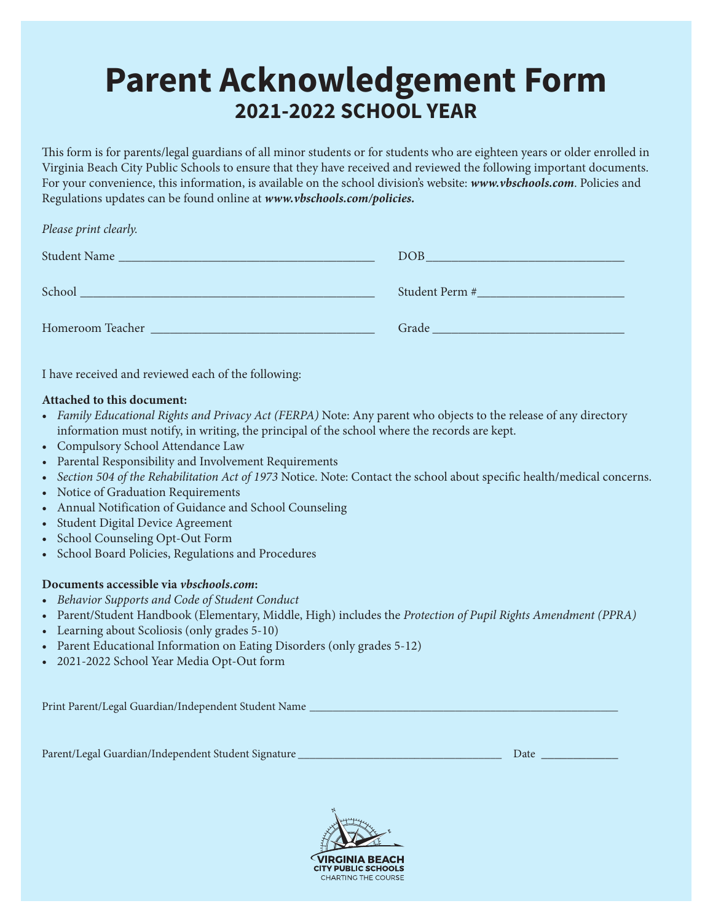# **Parent Acknowledgement Form 2021-2022 SCHOOL YEAR**

This form is for parents/legal guardians of all minor students or for students who are eighteen years or older enrolled in Virginia Beach City Public Schools to ensure that they have received and reviewed the following important documents. For your convenience, this information, is available on the school division's website: *www.vbschools.com*. Policies and Regulations updates can be found online at *www.vbschools.com/policies.*

#### *Please print clearly.*

| Student Name     | <b>DOB</b>     |
|------------------|----------------|
| School           | Student Perm # |
| Homeroom Teacher | Grade          |

I have received and reviewed each of the following:

#### **Attached to this document:**

- *Family Educational Rights and Privacy Act (FERPA)* Note: Any parent who objects to the release of any directory information must notify, in writing, the principal of the school where the records are kept.
- Compulsory School Attendance Law
- *•* Parental Responsibility and Involvement Requirements
- *Section 504 of the Rehabilitation Act of 1973* Notice. Note: Contact the school about specific health/medical concerns.
- Notice of Graduation Requirements
- Annual Notification of Guidance and School Counseling
- Student Digital Device Agreement
- School Counseling Opt-Out Form
- School Board Policies, Regulations and Procedures

#### **Documents accessible via** *vbschools.com***:**

- *Behavior Supports and Code of Student Conduct*
- Parent/Student Handbook (Elementary, Middle, High) includes the *Protection of Pupil Rights Amendment (PPRA)*
- *•* Learning about Scoliosis (only grades 5-10)
- Parent Educational Information on Eating Disorders (only grades 5-12)
- 2021-2022 School Year Media Opt-Out form

Print Parent/Legal Guardian/Independent Student Name \_

Parent/Legal Guardian/Independent Student Signature \_\_\_\_\_\_\_\_\_\_\_\_\_\_\_\_\_\_\_\_\_\_\_\_\_\_\_\_\_\_\_\_\_\_\_ Date \_\_\_\_\_\_\_\_\_\_\_\_

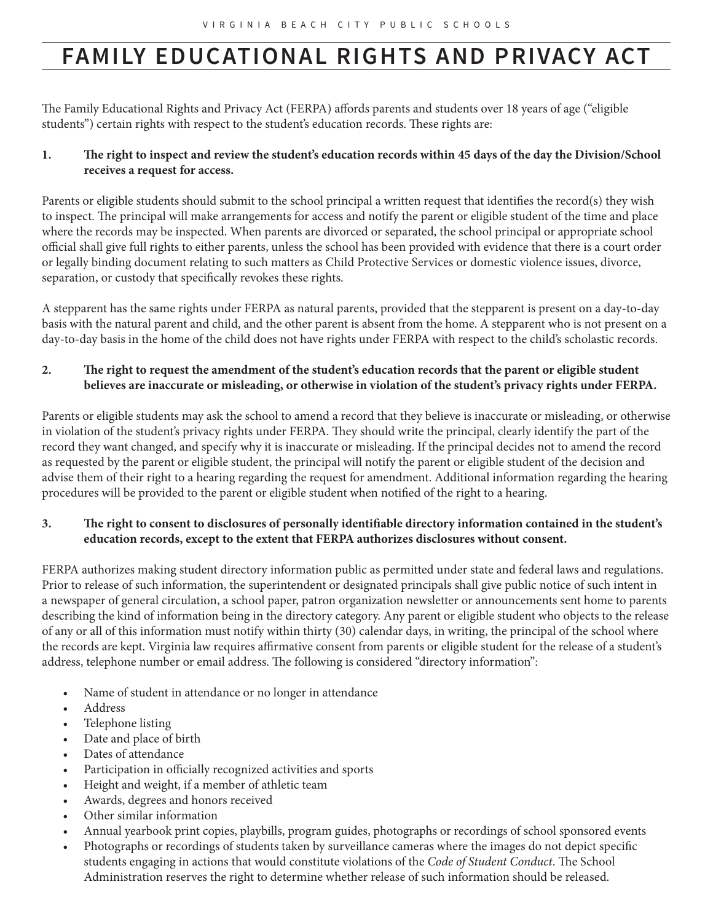# **FAMILY EDUCATIONAL RIGHTS AND PRIVACY ACT**

The Family Educational Rights and Privacy Act (FERPA) affords parents and students over 18 years of age ("eligible students") certain rights with respect to the student's education records. These rights are:

### **1. The right to inspect and review the student's education records within 45 days of the day the Division/School receives a request for access.**

Parents or eligible students should submit to the school principal a written request that identifies the record(s) they wish to inspect. The principal will make arrangements for access and notify the parent or eligible student of the time and place where the records may be inspected. When parents are divorced or separated, the school principal or appropriate school official shall give full rights to either parents, unless the school has been provided with evidence that there is a court order or legally binding document relating to such matters as Child Protective Services or domestic violence issues, divorce, separation, or custody that specifically revokes these rights.

A stepparent has the same rights under FERPA as natural parents, provided that the stepparent is present on a day-to-day basis with the natural parent and child, and the other parent is absent from the home. A stepparent who is not present on a day-to-day basis in the home of the child does not have rights under FERPA with respect to the child's scholastic records.

#### **2. The right to request the amendment of the student's education records that the parent or eligible student believes are inaccurate or misleading, or otherwise in violation of the student's privacy rights under FERPA.**

Parents or eligible students may ask the school to amend a record that they believe is inaccurate or misleading, or otherwise in violation of the student's privacy rights under FERPA. They should write the principal, clearly identify the part of the record they want changed, and specify why it is inaccurate or misleading. If the principal decides not to amend the record as requested by the parent or eligible student, the principal will notify the parent or eligible student of the decision and advise them of their right to a hearing regarding the request for amendment. Additional information regarding the hearing procedures will be provided to the parent or eligible student when notified of the right to a hearing.

### **3. The right to consent to disclosures of personally identifiable directory information contained in the student's education records, except to the extent that FERPA authorizes disclosures without consent.**

FERPA authorizes making student directory information public as permitted under state and federal laws and regulations. Prior to release of such information, the superintendent or designated principals shall give public notice of such intent in a newspaper of general circulation, a school paper, patron organization newsletter or announcements sent home to parents describing the kind of information being in the directory category. Any parent or eligible student who objects to the release of any or all of this information must notify within thirty (30) calendar days, in writing, the principal of the school where the records are kept. Virginia law requires affirmative consent from parents or eligible student for the release of a student's address, telephone number or email address. The following is considered "directory information":

- Name of student in attendance or no longer in attendance
- Address
- Telephone listing
- Date and place of birth
- Dates of attendance
- Participation in officially recognized activities and sports
- Height and weight, if a member of athletic team
- Awards, degrees and honors received
- Other similar information
- Annual yearbook print copies, playbills, program guides, photographs or recordings of school sponsored events
- Photographs or recordings of students taken by surveillance cameras where the images do not depict specific students engaging in actions that would constitute violations of the *Code of Student Conduct*. The School Administration reserves the right to determine whether release of such information should be released.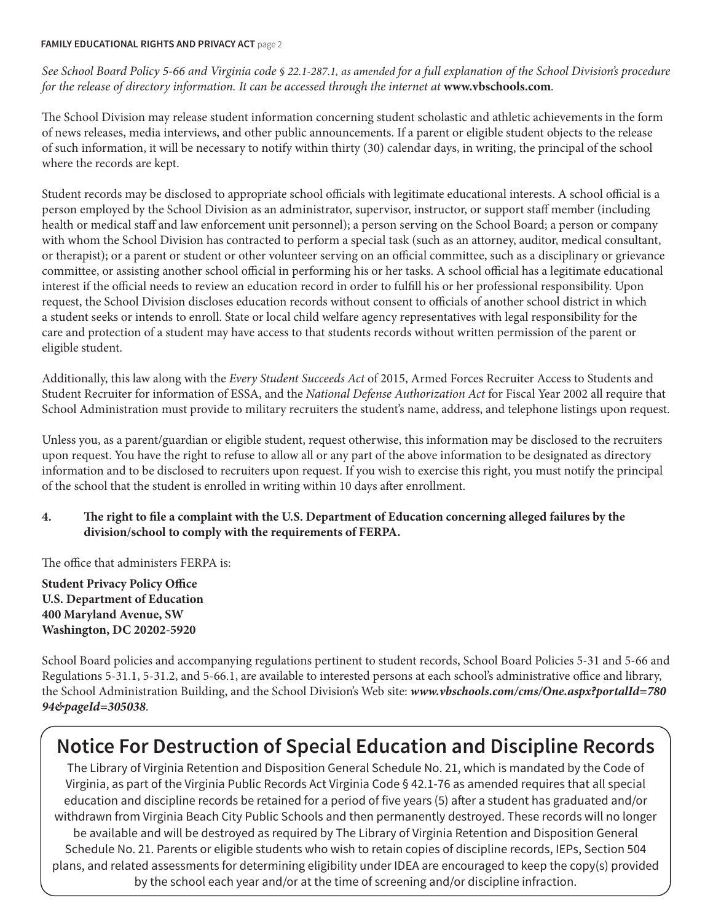#### **FAMILY EDUCATIONAL RIGHTS AND PRIVACY ACT** page 2

*See School Board Policy 5-66 and Virginia code § 22.1-287.1, as amended for a full explanation of the School Division's procedure for the release of directory information. It can be accessed through the internet at www.vbschools.com.* 

The School Division may release student information concerning student scholastic and athletic achievements in the form of news releases, media interviews, and other public announcements. If a parent or eligible student objects to the release of such information, it will be necessary to notify within thirty (30) calendar days, in writing, the principal of the school where the records are kept.

Student records may be disclosed to appropriate school officials with legitimate educational interests. A school official is a person employed by the School Division as an administrator, supervisor, instructor, or support staff member (including health or medical staff and law enforcement unit personnel); a person serving on the School Board; a person or company with whom the School Division has contracted to perform a special task (such as an attorney, auditor, medical consultant, or therapist); or a parent or student or other volunteer serving on an official committee, such as a disciplinary or grievance committee, or assisting another school official in performing his or her tasks. A school official has a legitimate educational interest if the official needs to review an education record in order to fulfill his or her professional responsibility. Upon request, the School Division discloses education records without consent to officials of another school district in which a student seeks or intends to enroll. State or local child welfare agency representatives with legal responsibility for the care and protection of a student may have access to that students records without written permission of the parent or eligible student.

Additionally, this law along with the *Every Student Succeeds Act* of 2015, Armed Forces Recruiter Access to Students and Student Recruiter for information of ESSA, and the *National Defense Authorization Act* for Fiscal Year 2002 all require that School Administration must provide to military recruiters the student's name, address, and telephone listings upon request.

Unless you, as a parent/guardian or eligible student, request otherwise, this information may be disclosed to the recruiters upon request. You have the right to refuse to allow all or any part of the above information to be designated as directory information and to be disclosed to recruiters upon request. If you wish to exercise this right, you must notify the principal of the school that the student is enrolled in writing within 10 days after enrollment.

#### **4. The right to file a complaint with the U.S. Department of Education concerning alleged failures by the division/school to comply with the requirements of FERPA.**

The office that administers FERPA is:

**Student Privacy Policy Office U.S. Department of Education 400 Maryland Avenue, SW Washington, DC 20202-5920**

School Board policies and accompanying regulations pertinent to student records, School Board Policies 5-31 and 5-66 and Regulations 5-31.1, 5-31.2, and 5-66.1, are available to interested persons at each school's administrative office and library, the School Administration Building, and the School Division's Web site: *www.vbschools.com/cms/One.aspx?portalId=780 94&pageId=305038*.

### **Notice For Destruction of Special Education and Discipline Records**

The Library of Virginia Retention and Disposition General Schedule No. 21, which is mandated by the Code of Virginia, as part of the Virginia Public Records Act Virginia Code § 42.1-76 as amended requires that all special education and discipline records be retained for a period of five years (5) after a student has graduated and/or withdrawn from Virginia Beach City Public Schools and then permanently destroyed. These records will no longer be available and will be destroyed as required by The Library of Virginia Retention and Disposition General Schedule No. 21. Parents or eligible students who wish to retain copies of discipline records, IEPs, Section 504 plans, and related assessments for determining eligibility under IDEA are encouraged to keep the copy(s) provided by the school each year and/or at the time of screening and/or discipline infraction.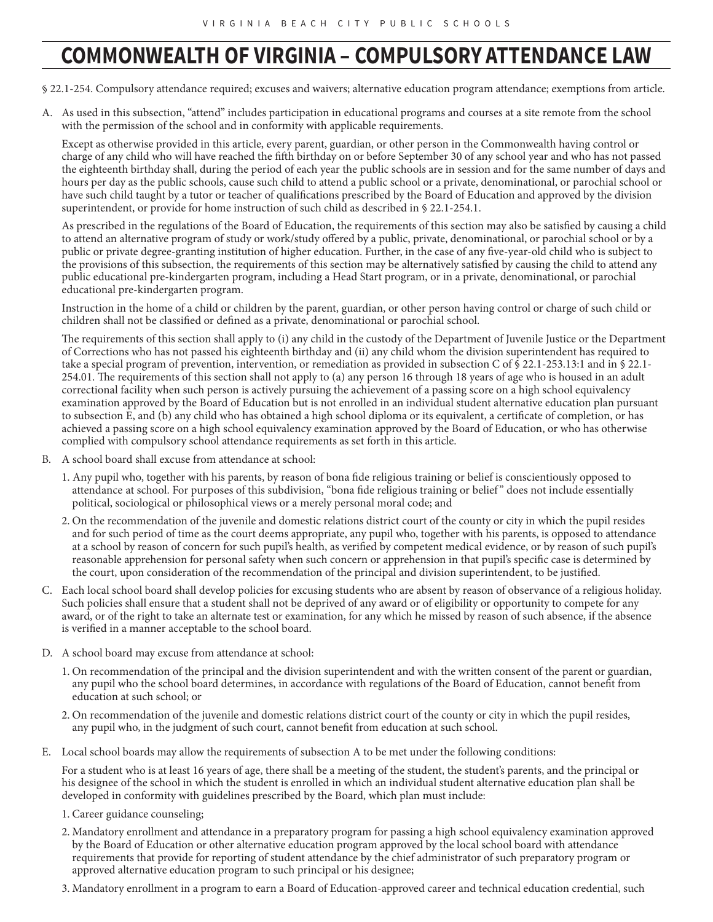### **COMMONWEALTH OF VIRGINIA – COMPULSORY ATTENDANCE LAW**

§ 22.1-254. Compulsory attendance required; excuses and waivers; alternative education program attendance; exemptions from article.

A. As used in this subsection, "attend" includes participation in educational programs and courses at a site remote from the school with the permission of the school and in conformity with applicable requirements.

Except as otherwise provided in this article, every parent, guardian, or other person in the Commonwealth having control or charge of any child who will have reached the fifth birthday on or before September 30 of any school year and who has not passed the eighteenth birthday shall, during the period of each year the public schools are in session and for the same number of days and hours per day as the public schools, cause such child to attend a public school or a private, denominational, or parochial school or have such child taught by a tutor or teacher of qualifications prescribed by the Board of Education and approved by the division superintendent, or provide for home instruction of such child as described in § 22.1-254.1.

As prescribed in the regulations of the Board of Education, the requirements of this section may also be satisfied by causing a child to attend an alternative program of study or work/study offered by a public, private, denominational, or parochial school or by a public or private degree-granting institution of higher education. Further, in the case of any five-year-old child who is subject to the provisions of this subsection, the requirements of this section may be alternatively satisfied by causing the child to attend any public educational pre-kindergarten program, including a Head Start program, or in a private, denominational, or parochial educational pre-kindergarten program.

Instruction in the home of a child or children by the parent, guardian, or other person having control or charge of such child or children shall not be classified or defined as a private, denominational or parochial school.

The requirements of this section shall apply to (i) any child in the custody of the Department of Juvenile Justice or the Department of Corrections who has not passed his eighteenth birthday and (ii) any child whom the division superintendent has required to take a special program of prevention, intervention, or remediation as provided in subsection C of § 22.1-253.13:1 and in § 22.1- 254.01. The requirements of this section shall not apply to (a) any person 16 through 18 years of age who is housed in an adult correctional facility when such person is actively pursuing the achievement of a passing score on a high school equivalency examination approved by the Board of Education but is not enrolled in an individual student alternative education plan pursuant to subsection E, and (b) any child who has obtained a high school diploma or its equivalent, a certificate of completion, or has achieved a passing score on a high school equivalency examination approved by the Board of Education, or who has otherwise complied with compulsory school attendance requirements as set forth in this article.

- B. A school board shall excuse from attendance at school:
	- 1. Any pupil who, together with his parents, by reason of bona fide religious training or belief is conscientiously opposed to attendance at school. For purposes of this subdivision, "bona fide religious training or belief " does not include essentially political, sociological or philosophical views or a merely personal moral code; and
	- 2. On the recommendation of the juvenile and domestic relations district court of the county or city in which the pupil resides and for such period of time as the court deems appropriate, any pupil who, together with his parents, is opposed to attendance at a school by reason of concern for such pupil's health, as verified by competent medical evidence, or by reason of such pupil's reasonable apprehension for personal safety when such concern or apprehension in that pupil's specific case is determined by the court, upon consideration of the recommendation of the principal and division superintendent, to be justified.
- C. Each local school board shall develop policies for excusing students who are absent by reason of observance of a religious holiday. Such policies shall ensure that a student shall not be deprived of any award or of eligibility or opportunity to compete for any award, or of the right to take an alternate test or examination, for any which he missed by reason of such absence, if the absence is verified in a manner acceptable to the school board.
- D. A school board may excuse from attendance at school:
	- 1. On recommendation of the principal and the division superintendent and with the written consent of the parent or guardian, any pupil who the school board determines, in accordance with regulations of the Board of Education, cannot benefit from education at such school; or
	- 2. On recommendation of the juvenile and domestic relations district court of the county or city in which the pupil resides, any pupil who, in the judgment of such court, cannot benefit from education at such school.
- E. Local school boards may allow the requirements of subsection A to be met under the following conditions:

For a student who is at least 16 years of age, there shall be a meeting of the student, the student's parents, and the principal or his designee of the school in which the student is enrolled in which an individual student alternative education plan shall be developed in conformity with guidelines prescribed by the Board, which plan must include:

- 1. Career guidance counseling;
- 2. Mandatory enrollment and attendance in a preparatory program for passing a high school equivalency examination approved by the Board of Education or other alternative education program approved by the local school board with attendance requirements that provide for reporting of student attendance by the chief administrator of such preparatory program or approved alternative education program to such principal or his designee;
- 3. Mandatory enrollment in a program to earn a Board of Education-approved career and technical education credential, such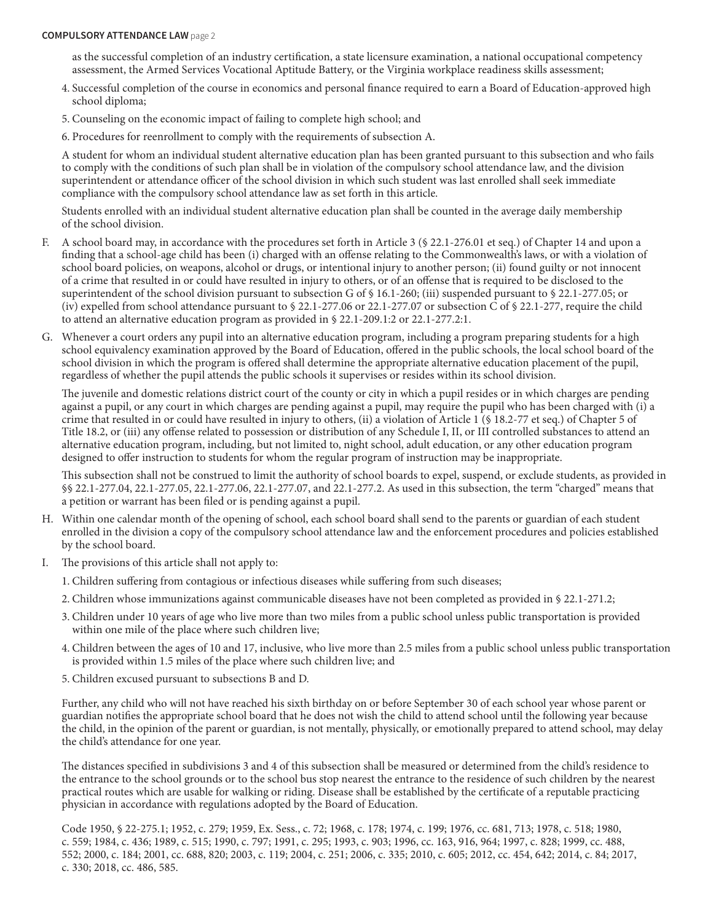#### **COMPULSORY ATTENDANCE LAW** page 2

 as the successful completion of an industry certification, a state licensure examination, a national occupational competency assessment, the Armed Services Vocational Aptitude Battery, or the Virginia workplace readiness skills assessment;

- 4. Successful completion of the course in economics and personal finance required to earn a Board of Education-approved high school diploma;
- 5. Counseling on the economic impact of failing to complete high school; and
- 6. Procedures for reenrollment to comply with the requirements of subsection A.

A student for whom an individual student alternative education plan has been granted pursuant to this subsection and who fails to comply with the conditions of such plan shall be in violation of the compulsory school attendance law, and the division superintendent or attendance officer of the school division in which such student was last enrolled shall seek immediate compliance with the compulsory school attendance law as set forth in this article.

Students enrolled with an individual student alternative education plan shall be counted in the average daily membership of the school division.

- F. A school board may, in accordance with the procedures set forth in Article 3 (§ 22.1-276.01 et seq.) of Chapter 14 and upon a finding that a school-age child has been (i) charged with an offense relating to the Commonwealth's laws, or with a violation of school board policies, on weapons, alcohol or drugs, or intentional injury to another person; (ii) found guilty or not innocent of a crime that resulted in or could have resulted in injury to others, or of an offense that is required to be disclosed to the superintendent of the school division pursuant to subsection G of § 16.1-260; (iii) suspended pursuant to § 22.1-277.05; or (iv) expelled from school attendance pursuant to  $\S 22.1-277.06$  or  $22.1-277.07$  or subsection C of  $\S 22.1-277$ , require the child to attend an alternative education program as provided in § 22.1-209.1:2 or 22.1-277.2:1.
- G. Whenever a court orders any pupil into an alternative education program, including a program preparing students for a high school equivalency examination approved by the Board of Education, offered in the public schools, the local school board of the school division in which the program is offered shall determine the appropriate alternative education placement of the pupil, regardless of whether the pupil attends the public schools it supervises or resides within its school division.

The juvenile and domestic relations district court of the county or city in which a pupil resides or in which charges are pending against a pupil, or any court in which charges are pending against a pupil, may require the pupil who has been charged with (i) a crime that resulted in or could have resulted in injury to others, (ii) a violation of Article 1 (§ 18.2-77 et seq.) of Chapter 5 of Title 18.2, or (iii) any offense related to possession or distribution of any Schedule I, II, or III controlled substances to attend an alternative education program, including, but not limited to, night school, adult education, or any other education program designed to offer instruction to students for whom the regular program of instruction may be inappropriate.

This subsection shall not be construed to limit the authority of school boards to expel, suspend, or exclude students, as provided in §§ 22.1-277.04, 22.1-277.05, 22.1-277.06, 22.1-277.07, and 22.1-277.2. As used in this subsection, the term "charged" means that a petition or warrant has been filed or is pending against a pupil.

- H. Within one calendar month of the opening of school, each school board shall send to the parents or guardian of each student enrolled in the division a copy of the compulsory school attendance law and the enforcement procedures and policies established by the school board.
- I. The provisions of this article shall not apply to:
	- 1. Children suffering from contagious or infectious diseases while suffering from such diseases;
	- 2. Children whose immunizations against communicable diseases have not been completed as provided in § 22.1-271.2;
	- 3. Children under 10 years of age who live more than two miles from a public school unless public transportation is provided within one mile of the place where such children live;
	- 4. Children between the ages of 10 and 17, inclusive, who live more than 2.5 miles from a public school unless public transportation is provided within 1.5 miles of the place where such children live; and
	- 5. Children excused pursuant to subsections B and D.

Further, any child who will not have reached his sixth birthday on or before September 30 of each school year whose parent or guardian notifies the appropriate school board that he does not wish the child to attend school until the following year because the child, in the opinion of the parent or guardian, is not mentally, physically, or emotionally prepared to attend school, may delay the child's attendance for one year.

The distances specified in subdivisions 3 and 4 of this subsection shall be measured or determined from the child's residence to the entrance to the school grounds or to the school bus stop nearest the entrance to the residence of such children by the nearest practical routes which are usable for walking or riding. Disease shall be established by the certificate of a reputable practicing physician in accordance with regulations adopted by the Board of Education.

Code 1950, § 22-275.1; 1952, c. 279; 1959, Ex. Sess., c. 72; 1968, c. 178; 1974, c. 199; 1976, cc. 681, 713; 1978, c. 518; 1980, c. 559; 1984, c. 436; 1989, c. 515; 1990, c. 797; 1991, c. 295; 1993, c. 903; 1996, cc. 163, 916, 964; 1997, c. 828; 1999, cc. 488, 552; 2000, c. 184; 2001, cc. 688, 820; 2003, c. 119; 2004, c. 251; 2006, c. 335; 2010, c. 605; 2012, cc. 454, 642; 2014, c. 84; 2017, c. 330; 2018, cc. 486, 585.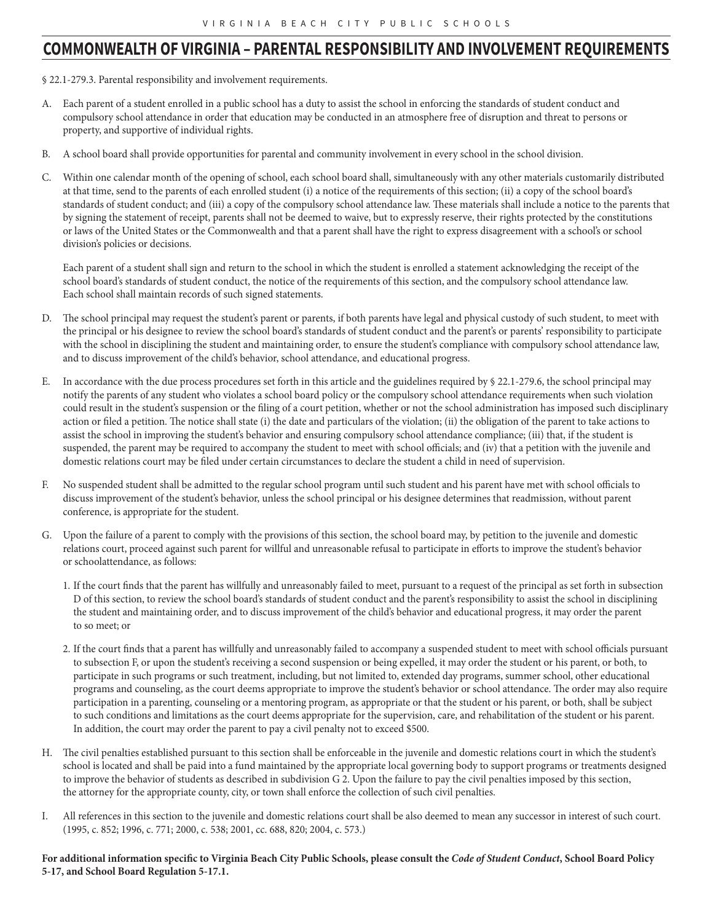### **COMMONWEALTH OF VIRGINIA – PARENTAL RESPONSIBILITY AND INVOLVEMENT REQUIREMENTS**

§ 22.1-279.3. Parental responsibility and involvement requirements.

- A. Each parent of a student enrolled in a public school has a duty to assist the school in enforcing the standards of student conduct and compulsory school attendance in order that education may be conducted in an atmosphere free of disruption and threat to persons or property, and supportive of individual rights.
- B. A school board shall provide opportunities for parental and community involvement in every school in the school division.
- C. Within one calendar month of the opening of school, each school board shall, simultaneously with any other materials customarily distributed at that time, send to the parents of each enrolled student (i) a notice of the requirements of this section; (ii) a copy of the school board's standards of student conduct; and (iii) a copy of the compulsory school attendance law. These materials shall include a notice to the parents that by signing the statement of receipt, parents shall not be deemed to waive, but to expressly reserve, their rights protected by the constitutions or laws of the United States or the Commonwealth and that a parent shall have the right to express disagreement with a school's or school division's policies or decisions.

Each parent of a student shall sign and return to the school in which the student is enrolled a statement acknowledging the receipt of the school board's standards of student conduct, the notice of the requirements of this section, and the compulsory school attendance law. Each school shall maintain records of such signed statements.

- D. The school principal may request the student's parent or parents, if both parents have legal and physical custody of such student, to meet with the principal or his designee to review the school board's standards of student conduct and the parent's or parents' responsibility to participate with the school in disciplining the student and maintaining order, to ensure the student's compliance with compulsory school attendance law, and to discuss improvement of the child's behavior, school attendance, and educational progress.
- E. In accordance with the due process procedures set forth in this article and the guidelines required by § 22.1-279.6, the school principal may notify the parents of any student who violates a school board policy or the compulsory school attendance requirements when such violation could result in the student's suspension or the filing of a court petition, whether or not the school administration has imposed such disciplinary action or filed a petition. The notice shall state (i) the date and particulars of the violation; (ii) the obligation of the parent to take actions to assist the school in improving the student's behavior and ensuring compulsory school attendance compliance; (iii) that, if the student is suspended, the parent may be required to accompany the student to meet with school officials; and (iv) that a petition with the juvenile and domestic relations court may be filed under certain circumstances to declare the student a child in need of supervision.
- F. No suspended student shall be admitted to the regular school program until such student and his parent have met with school officials to discuss improvement of the student's behavior, unless the school principal or his designee determines that readmission, without parent conference, is appropriate for the student.
- G. Upon the failure of a parent to comply with the provisions of this section, the school board may, by petition to the juvenile and domestic relations court, proceed against such parent for willful and unreasonable refusal to participate in efforts to improve the student's behavior or schoolattendance, as follows:
	- 1. If the court finds that the parent has willfully and unreasonably failed to meet, pursuant to a request of the principal as set forth in subsection D of this section, to review the school board's standards of student conduct and the parent's responsibility to assist the school in disciplining the student and maintaining order, and to discuss improvement of the child's behavior and educational progress, it may order the parent to so meet; or
	- 2. If the court finds that a parent has willfully and unreasonably failed to accompany a suspended student to meet with school officials pursuant to subsection F, or upon the student's receiving a second suspension or being expelled, it may order the student or his parent, or both, to participate in such programs or such treatment, including, but not limited to, extended day programs, summer school, other educational programs and counseling, as the court deems appropriate to improve the student's behavior or school attendance. The order may also require participation in a parenting, counseling or a mentoring program, as appropriate or that the student or his parent, or both, shall be subject to such conditions and limitations as the court deems appropriate for the supervision, care, and rehabilitation of the student or his parent. In addition, the court may order the parent to pay a civil penalty not to exceed \$500.
- H. The civil penalties established pursuant to this section shall be enforceable in the juvenile and domestic relations court in which the student's school is located and shall be paid into a fund maintained by the appropriate local governing body to support programs or treatments designed to improve the behavior of students as described in subdivision G 2. Upon the failure to pay the civil penalties imposed by this section, the attorney for the appropriate county, city, or town shall enforce the collection of such civil penalties.
- I. All references in this section to the juvenile and domestic relations court shall be also deemed to mean any successor in interest of such court. (1995, c. 852; 1996, c. 771; 2000, c. 538; 2001, cc. 688, 820; 2004, c. 573.)

#### **For additional information specific to Virginia Beach City Public Schools, please consult the** *Code of Student Conduct***, School Board Policy 5-17, and School Board Regulation 5-17.1.**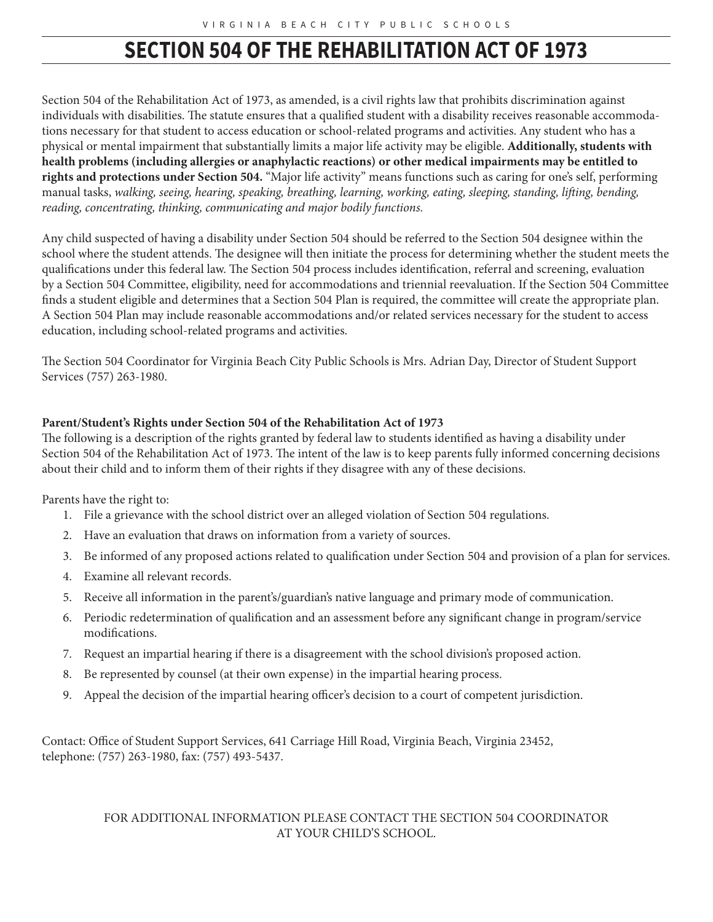### **SECTION 504 OF THE REHABILITATION ACT OF 1973**

Section 504 of the Rehabilitation Act of 1973, as amended, is a civil rights law that prohibits discrimination against individuals with disabilities. The statute ensures that a qualified student with a disability receives reasonable accommodations necessary for that student to access education or school-related programs and activities. Any student who has a physical or mental impairment that substantially limits a major life activity may be eligible. **Additionally, students with health problems (including allergies or anaphylactic reactions) or other medical impairments may be entitled to rights and protections under Section 504.** "Major life activity" means functions such as caring for one's self, performing manual tasks, *walking, seeing, hearing, speaking, breathing, learning, working, eating, sleeping, standing, lifting, bending, reading, concentrating, thinking, communicating and major bodily functions.*

Any child suspected of having a disability under Section 504 should be referred to the Section 504 designee within the school where the student attends. The designee will then initiate the process for determining whether the student meets the qualifications under this federal law. The Section 504 process includes identification, referral and screening, evaluation by a Section 504 Committee, eligibility, need for accommodations and triennial reevaluation. If the Section 504 Committee finds a student eligible and determines that a Section 504 Plan is required, the committee will create the appropriate plan. A Section 504 Plan may include reasonable accommodations and/or related services necessary for the student to access education, including school-related programs and activities.

The Section 504 Coordinator for Virginia Beach City Public Schools is Mrs. Adrian Day, Director of Student Support Services (757) 263-1980.

#### **Parent/Student's Rights under Section 504 of the Rehabilitation Act of 1973**

The following is a description of the rights granted by federal law to students identified as having a disability under Section 504 of the Rehabilitation Act of 1973. The intent of the law is to keep parents fully informed concerning decisions about their child and to inform them of their rights if they disagree with any of these decisions.

Parents have the right to:

- 1. File a grievance with the school district over an alleged violation of Section 504 regulations.
- 2. Have an evaluation that draws on information from a variety of sources.
- 3. Be informed of any proposed actions related to qualification under Section 504 and provision of a plan for services.
- 4. Examine all relevant records.
- 5. Receive all information in the parent's/guardian's native language and primary mode of communication.
- 6. Periodic redetermination of qualification and an assessment before any significant change in program/service modifications.
- 7. Request an impartial hearing if there is a disagreement with the school division's proposed action.
- 8. Be represented by counsel (at their own expense) in the impartial hearing process.
- 9. Appeal the decision of the impartial hearing officer's decision to a court of competent jurisdiction.

Contact: Office of Student Support Services, 641 Carriage Hill Road, Virginia Beach, Virginia 23452, telephone: (757) 263-1980, fax: (757) 493-5437.

#### FOR ADDITIONAL INFORMATION PLEASE CONTACT THE SECTION 504 COORDINATOR AT YOUR CHILD'S SCHOOL.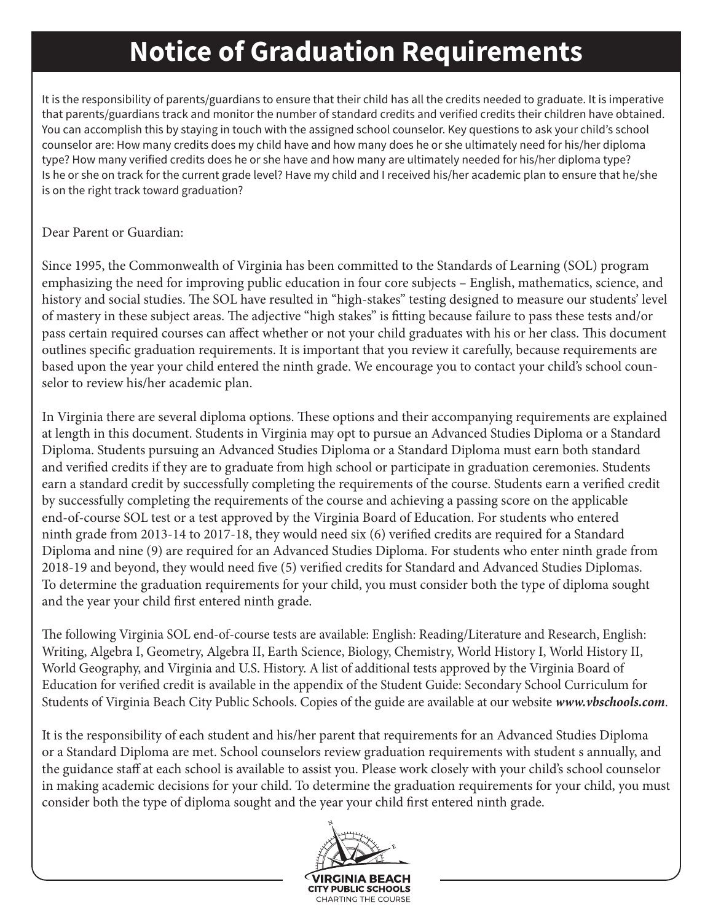# **Notice of Graduation Requirements**

It is the responsibility of parents/guardians to ensure that their child has all the credits needed to graduate. It is imperative that parents/guardians track and monitor the number of standard credits and verified credits their children have obtained. You can accomplish this by staying in touch with the assigned school counselor. Key questions to ask your child's school counselor are: How many credits does my child have and how many does he or she ultimately need for his/her diploma type? How many verified credits does he or she have and how many are ultimately needed for his/her diploma type? Is he or she on track for the current grade level? Have my child and I received his/her academic plan to ensure that he/she is on the right track toward graduation?

### Dear Parent or Guardian:

Since 1995, the Commonwealth of Virginia has been committed to the Standards of Learning (SOL) program emphasizing the need for improving public education in four core subjects – English, mathematics, science, and history and social studies. The SOL have resulted in "high-stakes" testing designed to measure our students' level of mastery in these subject areas. The adjective "high stakes" is fitting because failure to pass these tests and/or pass certain required courses can affect whether or not your child graduates with his or her class. This document outlines specific graduation requirements. It is important that you review it carefully, because requirements are based upon the year your child entered the ninth grade. We encourage you to contact your child's school counselor to review his/her academic plan.

In Virginia there are several diploma options. These options and their accompanying requirements are explained at length in this document. Students in Virginia may opt to pursue an Advanced Studies Diploma or a Standard Diploma. Students pursuing an Advanced Studies Diploma or a Standard Diploma must earn both standard and verified credits if they are to graduate from high school or participate in graduation ceremonies. Students earn a standard credit by successfully completing the requirements of the course. Students earn a verified credit by successfully completing the requirements of the course and achieving a passing score on the applicable end-of-course SOL test or a test approved by the Virginia Board of Education. For students who entered ninth grade from 2013-14 to 2017-18, they would need six (6) verified credits are required for a Standard Diploma and nine (9) are required for an Advanced Studies Diploma. For students who enter ninth grade from 2018-19 and beyond, they would need five (5) verified credits for Standard and Advanced Studies Diplomas. To determine the graduation requirements for your child, you must consider both the type of diploma sought and the year your child first entered ninth grade.

The following Virginia SOL end-of-course tests are available: English: Reading/Literature and Research, English: Writing, Algebra I, Geometry, Algebra II, Earth Science, Biology, Chemistry, World History I, World History II, World Geography, and Virginia and U.S. History. A list of additional tests approved by the Virginia Board of Education for verified credit is available in the appendix of the Student Guide: Secondary School Curriculum for Students of Virginia Beach City Public Schools. Copies of the guide are available at our website *www.vbschools.com*.

It is the responsibility of each student and his/her parent that requirements for an Advanced Studies Diploma or a Standard Diploma are met. School counselors review graduation requirements with student s annually, and the guidance staff at each school is available to assist you. Please work closely with your child's school counselor in making academic decisions for your child. To determine the graduation requirements for your child, you must consider both the type of diploma sought and the year your child first entered ninth grade.

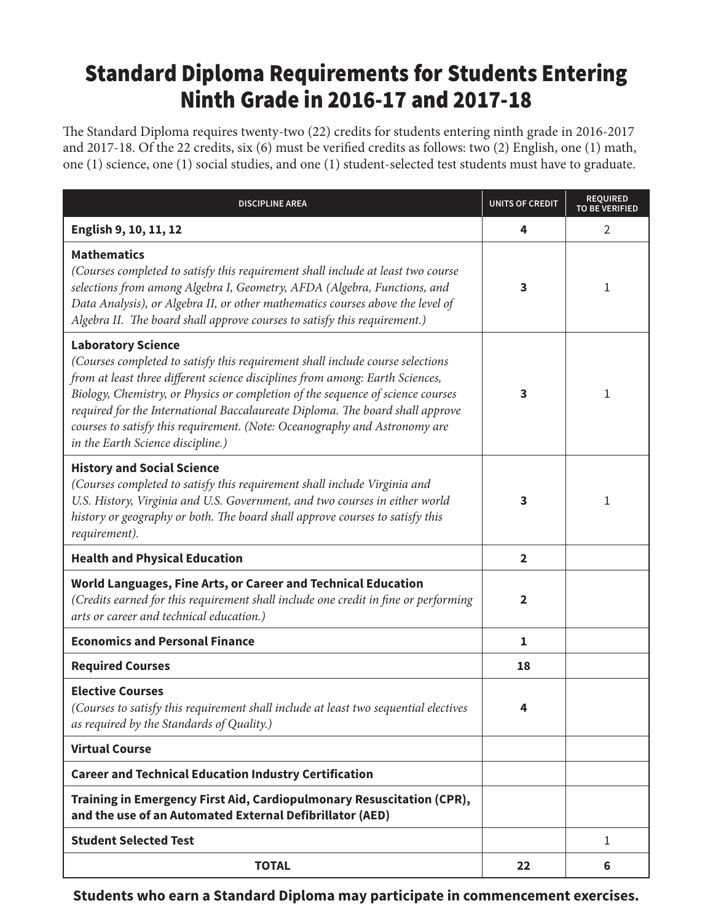### Standard Diploma Requirements for Students Entering Ninth Grade in 2016-17 and 2017-18

The Standard Diploma requires twenty-two (22) credits for students entering ninth grade in 2016-2017 and 2017-18. Of the 22 credits, six (6) must be verified credits as follows: two (2) English, one (1) math, one (1) science, one (1) social studies, and one (1) student-selected test students must have to graduate.

| <b>DISCIPLINE AREA</b>                                                                                                                                                                                                                                                                                                                                                                                                                                                              | UNITS OF CREDIT         | <b>REQUIRED</b><br><b>TO BE VERIFIED</b> |
|-------------------------------------------------------------------------------------------------------------------------------------------------------------------------------------------------------------------------------------------------------------------------------------------------------------------------------------------------------------------------------------------------------------------------------------------------------------------------------------|-------------------------|------------------------------------------|
| English 9, 10, 11, 12                                                                                                                                                                                                                                                                                                                                                                                                                                                               | 4                       | 2                                        |
| <b>Mathematics</b><br>(Courses completed to satisfy this requirement shall include at least two course<br>selections from among Algebra I, Geometry, AFDA (Algebra, Functions, and<br>Data Analysis), or Algebra II, or other mathematics courses above the level of<br>Algebra II. The board shall approve courses to satisfy this requirement.)                                                                                                                                   | 3                       | 1                                        |
| <b>Laboratory Science</b><br>(Courses completed to satisfy this requirement shall include course selections<br>from at least three different science disciplines from among: Earth Sciences,<br>Biology, Chemistry, or Physics or completion of the sequence of science courses<br>required for the International Baccalaureate Diploma. The board shall approve<br>courses to satisfy this requirement. (Note: Oceanography and Astronomy are<br>in the Earth Science discipline.) | 3                       | 1                                        |
| <b>History and Social Science</b><br>(Courses completed to satisfy this requirement shall include Virginia and<br>U.S. History, Virginia and U.S. Government, and two courses in either world<br>history or geography or both. The board shall approve courses to satisfy this<br>requirement).                                                                                                                                                                                     | 3                       | 1                                        |
| <b>Health and Physical Education</b>                                                                                                                                                                                                                                                                                                                                                                                                                                                | $\overline{\mathbf{2}}$ |                                          |
| World Languages, Fine Arts, or Career and Technical Education<br>(Credits earned for this requirement shall include one credit in fine or performing<br>arts or career and technical education.)                                                                                                                                                                                                                                                                                    | $\overline{2}$          |                                          |
| <b>Economics and Personal Finance</b>                                                                                                                                                                                                                                                                                                                                                                                                                                               | $\mathbf{1}$            |                                          |
| <b>Required Courses</b>                                                                                                                                                                                                                                                                                                                                                                                                                                                             | 18                      |                                          |
| <b>Elective Courses</b><br>(Courses to satisfy this requirement shall include at least two sequential electives<br>as required by the Standards of Quality.)                                                                                                                                                                                                                                                                                                                        | 4                       |                                          |
| <b>Virtual Course</b>                                                                                                                                                                                                                                                                                                                                                                                                                                                               |                         |                                          |
| <b>Career and Technical Education Industry Certification</b>                                                                                                                                                                                                                                                                                                                                                                                                                        |                         |                                          |
| Training in Emergency First Aid, Cardiopulmonary Resuscitation (CPR),<br>and the use of an Automated External Defibrillator (AED)                                                                                                                                                                                                                                                                                                                                                   |                         |                                          |
| <b>Student Selected Test</b>                                                                                                                                                                                                                                                                                                                                                                                                                                                        |                         | 1                                        |
| <b>TOTAL</b>                                                                                                                                                                                                                                                                                                                                                                                                                                                                        | 22                      | 6                                        |

**Students who earn a Standard Diploma may participate in commencement exercises.**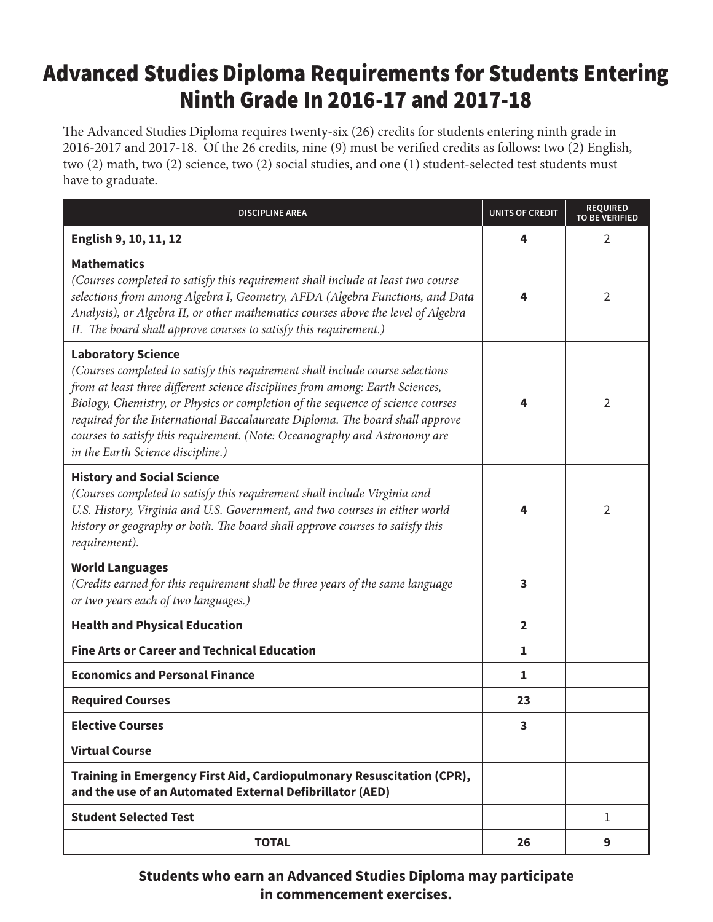### Advanced Studies Diploma Requirements for Students Entering Ninth Grade In 2016-17 and 2017-18

The Advanced Studies Diploma requires twenty-six (26) credits for students entering ninth grade in 2016-2017 and 2017-18. Of the 26 credits, nine (9) must be verified credits as follows: two (2) English, two (2) math, two (2) science, two (2) social studies, and one (1) student-selected test students must have to graduate.

| <b>DISCIPLINE AREA</b>                                                                                                                                                                                                                                                                                                                                                                                                                                                              | <b>UNITS OF CREDIT</b> | <b>REQUIRED</b><br><b>TO BE VERIFIED</b> |
|-------------------------------------------------------------------------------------------------------------------------------------------------------------------------------------------------------------------------------------------------------------------------------------------------------------------------------------------------------------------------------------------------------------------------------------------------------------------------------------|------------------------|------------------------------------------|
| English 9, 10, 11, 12                                                                                                                                                                                                                                                                                                                                                                                                                                                               | 4                      | $\overline{2}$                           |
| <b>Mathematics</b><br>(Courses completed to satisfy this requirement shall include at least two course<br>selections from among Algebra I, Geometry, AFDA (Algebra Functions, and Data<br>Analysis), or Algebra II, or other mathematics courses above the level of Algebra<br>II. The board shall approve courses to satisfy this requirement.)                                                                                                                                    | 4                      | $\overline{2}$                           |
| <b>Laboratory Science</b><br>(Courses completed to satisfy this requirement shall include course selections<br>from at least three different science disciplines from among: Earth Sciences,<br>Biology, Chemistry, or Physics or completion of the sequence of science courses<br>required for the International Baccalaureate Diploma. The board shall approve<br>courses to satisfy this requirement. (Note: Oceanography and Astronomy are<br>in the Earth Science discipline.) | 4                      | 2                                        |
| <b>History and Social Science</b><br>(Courses completed to satisfy this requirement shall include Virginia and<br>U.S. History, Virginia and U.S. Government, and two courses in either world<br>history or geography or both. The board shall approve courses to satisfy this<br>requirement).                                                                                                                                                                                     | 4                      | $\overline{2}$                           |
| <b>World Languages</b><br>(Credits earned for this requirement shall be three years of the same language<br>or two years each of two languages.)                                                                                                                                                                                                                                                                                                                                    | 3                      |                                          |
| <b>Health and Physical Education</b>                                                                                                                                                                                                                                                                                                                                                                                                                                                | $\overline{2}$         |                                          |
| <b>Fine Arts or Career and Technical Education</b>                                                                                                                                                                                                                                                                                                                                                                                                                                  | 1                      |                                          |
| <b>Economics and Personal Finance</b>                                                                                                                                                                                                                                                                                                                                                                                                                                               | 1                      |                                          |
| <b>Required Courses</b>                                                                                                                                                                                                                                                                                                                                                                                                                                                             | 23                     |                                          |
| <b>Elective Courses</b>                                                                                                                                                                                                                                                                                                                                                                                                                                                             | 3                      |                                          |
| <b>Virtual Course</b>                                                                                                                                                                                                                                                                                                                                                                                                                                                               |                        |                                          |
| Training in Emergency First Aid, Cardiopulmonary Resuscitation (CPR),<br>and the use of an Automated External Defibrillator (AED)                                                                                                                                                                                                                                                                                                                                                   |                        |                                          |
| <b>Student Selected Test</b>                                                                                                                                                                                                                                                                                                                                                                                                                                                        |                        | $\mathbf{1}$                             |
| <b>TOTAL</b>                                                                                                                                                                                                                                                                                                                                                                                                                                                                        | 26                     | 9                                        |

**Students who earn an Advanced Studies Diploma may participate in commencement exercises.**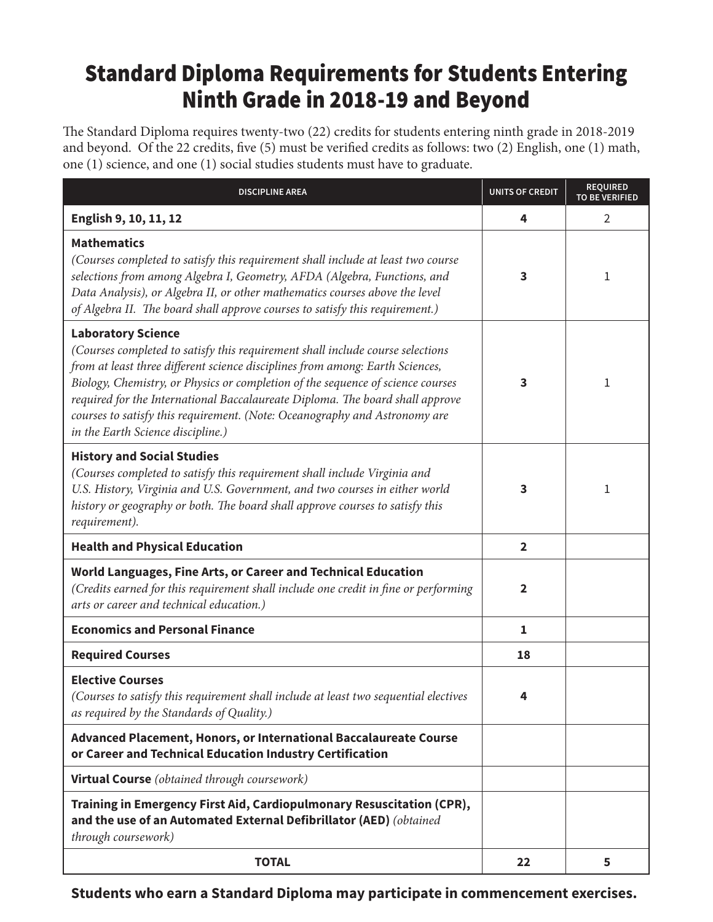## Standard Diploma Requirements for Students Entering Ninth Grade in 2018-19 and Beyond

The Standard Diploma requires twenty-two (22) credits for students entering ninth grade in 2018-2019 and beyond. Of the 22 credits, five (5) must be verified credits as follows: two (2) English, one (1) math, one (1) science, and one (1) social studies students must have to graduate.

| <b>DISCIPLINE AREA</b>                                                                                                                                                                                                                                                                                                                                                                                                                                                              | <b>UNITS OF CREDIT</b> | <b>REQUIRED</b><br><b>TO BE VERIFIED</b> |
|-------------------------------------------------------------------------------------------------------------------------------------------------------------------------------------------------------------------------------------------------------------------------------------------------------------------------------------------------------------------------------------------------------------------------------------------------------------------------------------|------------------------|------------------------------------------|
| English 9, 10, 11, 12                                                                                                                                                                                                                                                                                                                                                                                                                                                               | 4                      | $\overline{2}$                           |
| <b>Mathematics</b><br>(Courses completed to satisfy this requirement shall include at least two course<br>selections from among Algebra I, Geometry, AFDA (Algebra, Functions, and<br>Data Analysis), or Algebra II, or other mathematics courses above the level<br>of Algebra II. The board shall approve courses to satisfy this requirement.)                                                                                                                                   | 3                      | 1                                        |
| <b>Laboratory Science</b><br>(Courses completed to satisfy this requirement shall include course selections<br>from at least three different science disciplines from among: Earth Sciences,<br>Biology, Chemistry, or Physics or completion of the sequence of science courses<br>required for the International Baccalaureate Diploma. The board shall approve<br>courses to satisfy this requirement. (Note: Oceanography and Astronomy are<br>in the Earth Science discipline.) | 3                      | 1                                        |
| <b>History and Social Studies</b><br>(Courses completed to satisfy this requirement shall include Virginia and<br>U.S. History, Virginia and U.S. Government, and two courses in either world<br>history or geography or both. The board shall approve courses to satisfy this<br>requirement).                                                                                                                                                                                     | 3                      | 1                                        |
| <b>Health and Physical Education</b>                                                                                                                                                                                                                                                                                                                                                                                                                                                | $\overline{2}$         |                                          |
| World Languages, Fine Arts, or Career and Technical Education<br>(Credits earned for this requirement shall include one credit in fine or performing<br>arts or career and technical education.)                                                                                                                                                                                                                                                                                    | $\mathbf{2}$           |                                          |
| <b>Economics and Personal Finance</b>                                                                                                                                                                                                                                                                                                                                                                                                                                               | $\mathbf{1}$           |                                          |
| <b>Required Courses</b>                                                                                                                                                                                                                                                                                                                                                                                                                                                             | 18                     |                                          |
| <b>Elective Courses</b><br>(Courses to satisfy this requirement shall include at least two sequential electives<br>as required by the Standards of Quality.)                                                                                                                                                                                                                                                                                                                        | 4                      |                                          |
| Advanced Placement, Honors, or International Baccalaureate Course<br>or Career and Technical Education Industry Certification                                                                                                                                                                                                                                                                                                                                                       |                        |                                          |
| <b>Virtual Course</b> (obtained through coursework)                                                                                                                                                                                                                                                                                                                                                                                                                                 |                        |                                          |
| Training in Emergency First Aid, Cardiopulmonary Resuscitation (CPR),<br>and the use of an Automated External Defibrillator (AED) (obtained<br>through coursework)                                                                                                                                                                                                                                                                                                                  |                        |                                          |
| <b>TOTAL</b>                                                                                                                                                                                                                                                                                                                                                                                                                                                                        | 22                     | 5                                        |

**Students who earn a Standard Diploma may participate in commencement exercises.**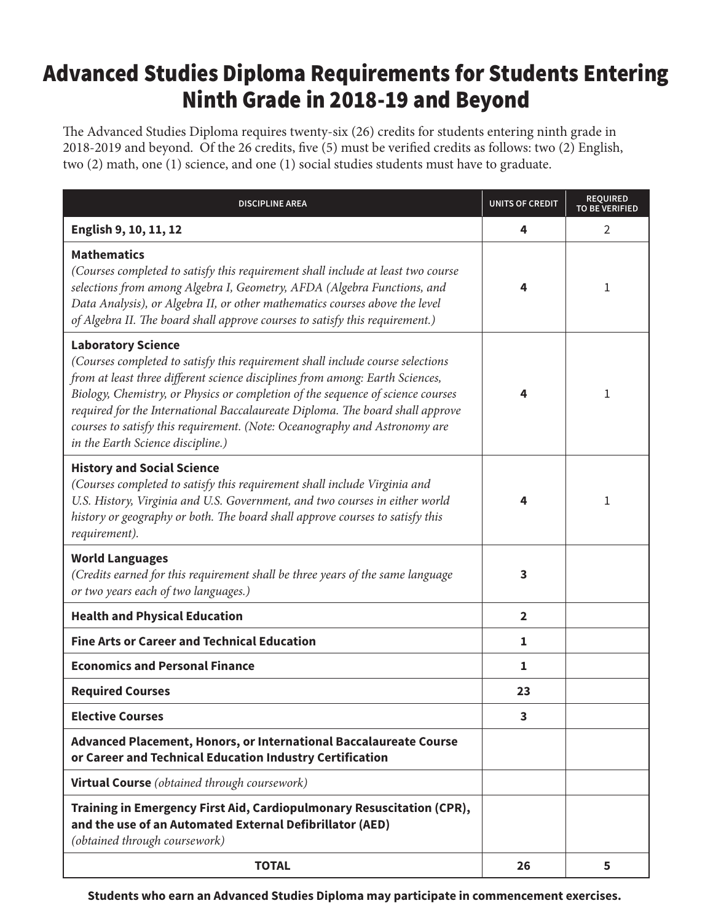### Advanced Studies Diploma Requirements for Students Entering Ninth Grade in 2018-19 and Beyond

The Advanced Studies Diploma requires twenty-six (26) credits for students entering ninth grade in 2018-2019 and beyond. Of the 26 credits, five (5) must be verified credits as follows: two (2) English, two (2) math, one (1) science, and one (1) social studies students must have to graduate.

| <b>DISCIPLINE AREA</b>                                                                                                                                                                                                                                                                                                                                                                                                                                                              | <b>UNITS OF CREDIT</b> | <b>REQUIRED</b><br><b>TO BE VERIFIED</b> |
|-------------------------------------------------------------------------------------------------------------------------------------------------------------------------------------------------------------------------------------------------------------------------------------------------------------------------------------------------------------------------------------------------------------------------------------------------------------------------------------|------------------------|------------------------------------------|
| English 9, 10, 11, 12                                                                                                                                                                                                                                                                                                                                                                                                                                                               | 4                      | $\overline{2}$                           |
| <b>Mathematics</b><br>(Courses completed to satisfy this requirement shall include at least two course<br>selections from among Algebra I, Geometry, AFDA (Algebra Functions, and<br>Data Analysis), or Algebra II, or other mathematics courses above the level<br>of Algebra II. The board shall approve courses to satisfy this requirement.)                                                                                                                                    | 4                      | 1                                        |
| <b>Laboratory Science</b><br>(Courses completed to satisfy this requirement shall include course selections<br>from at least three different science disciplines from among: Earth Sciences,<br>Biology, Chemistry, or Physics or completion of the sequence of science courses<br>required for the International Baccalaureate Diploma. The board shall approve<br>courses to satisfy this requirement. (Note: Oceanography and Astronomy are<br>in the Earth Science discipline.) | 4                      | 1                                        |
| <b>History and Social Science</b><br>(Courses completed to satisfy this requirement shall include Virginia and<br>U.S. History, Virginia and U.S. Government, and two courses in either world<br>history or geography or both. The board shall approve courses to satisfy this<br>requirement).                                                                                                                                                                                     | 4                      | 1                                        |
| <b>World Languages</b><br>(Credits earned for this requirement shall be three years of the same language<br>or two years each of two languages.)                                                                                                                                                                                                                                                                                                                                    | 3                      |                                          |
| <b>Health and Physical Education</b>                                                                                                                                                                                                                                                                                                                                                                                                                                                | $\overline{2}$         |                                          |
| <b>Fine Arts or Career and Technical Education</b>                                                                                                                                                                                                                                                                                                                                                                                                                                  | 1                      |                                          |
| <b>Economics and Personal Finance</b>                                                                                                                                                                                                                                                                                                                                                                                                                                               | 1                      |                                          |
| <b>Required Courses</b>                                                                                                                                                                                                                                                                                                                                                                                                                                                             | 23                     |                                          |
| <b>Elective Courses</b>                                                                                                                                                                                                                                                                                                                                                                                                                                                             | 3                      |                                          |
| Advanced Placement, Honors, or International Baccalaureate Course<br>or Career and Technical Education Industry Certification                                                                                                                                                                                                                                                                                                                                                       |                        |                                          |
| <b>Virtual Course</b> (obtained through coursework)                                                                                                                                                                                                                                                                                                                                                                                                                                 |                        |                                          |
| Training in Emergency First Aid, Cardiopulmonary Resuscitation (CPR),<br>and the use of an Automated External Defibrillator (AED)<br>(obtained through coursework)                                                                                                                                                                                                                                                                                                                  |                        |                                          |
| <b>TOTAL</b>                                                                                                                                                                                                                                                                                                                                                                                                                                                                        | 26                     | 5                                        |

**Students who earn an Advanced Studies Diploma may participate in commencement exercises.**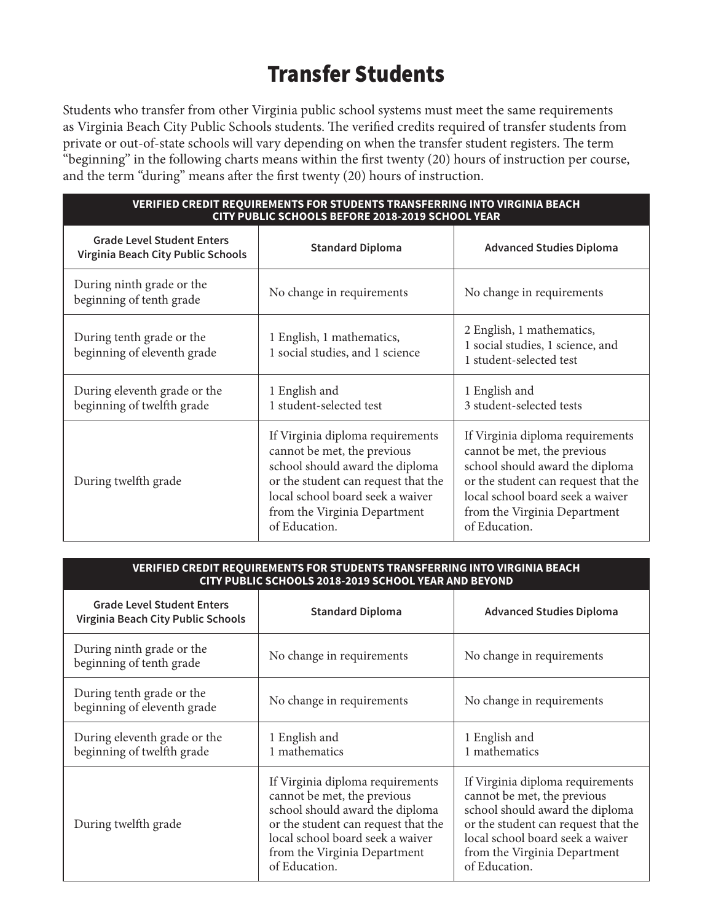## Transfer Students

Students who transfer from other Virginia public school systems must meet the same requirements as Virginia Beach City Public Schools students. The verified credits required of transfer students from private or out-of-state schools will vary depending on when the transfer student registers. The term "beginning" in the following charts means within the first twenty (20) hours of instruction per course, and the term "during" means after the first twenty (20) hours of instruction.

| <b>VERIFIED CREDIT REQUIREMENTS FOR STUDENTS TRANSFERRING INTO VIRGINIA BEACH</b><br>CITY PUBLIC SCHOOLS BEFORE 2018-2019 SCHOOL YEAR |                                                                                                                                                                                                                                |                                                                                                                                                                                                                                |  |
|---------------------------------------------------------------------------------------------------------------------------------------|--------------------------------------------------------------------------------------------------------------------------------------------------------------------------------------------------------------------------------|--------------------------------------------------------------------------------------------------------------------------------------------------------------------------------------------------------------------------------|--|
| <b>Grade Level Student Enters</b><br>Virginia Beach City Public Schools                                                               | <b>Standard Diploma</b>                                                                                                                                                                                                        | <b>Advanced Studies Diploma</b>                                                                                                                                                                                                |  |
| During ninth grade or the<br>beginning of tenth grade                                                                                 | No change in requirements                                                                                                                                                                                                      | No change in requirements                                                                                                                                                                                                      |  |
| During tenth grade or the<br>beginning of eleventh grade                                                                              | 1 English, 1 mathematics,<br>1 social studies, and 1 science                                                                                                                                                                   | 2 English, 1 mathematics,<br>1 social studies, 1 science, and<br>1 student-selected test                                                                                                                                       |  |
| During eleventh grade or the<br>beginning of twelfth grade                                                                            | 1 English and<br>1 student-selected test                                                                                                                                                                                       | 1 English and<br>3 student-selected tests                                                                                                                                                                                      |  |
| During twelfth grade                                                                                                                  | If Virginia diploma requirements<br>cannot be met, the previous<br>school should award the diploma<br>or the student can request that the<br>local school board seek a waiver<br>from the Virginia Department<br>of Education. | If Virginia diploma requirements<br>cannot be met, the previous<br>school should award the diploma<br>or the student can request that the<br>local school board seek a waiver<br>from the Virginia Department<br>of Education. |  |

| <u> VERIFIED CREDIT REQUIREMENTS FOR STUDENTS TRANSFERRING INTO VIRGINIA BEACH</u> |  |
|------------------------------------------------------------------------------------|--|
| ' CITY PUBLIC SCHOOLS 2018-2019 SCHOOL YEAR AND BEYOND .                           |  |

| <b>Grade Level Student Enters</b><br>Virginia Beach City Public Schools | <b>Standard Diploma</b>                                                                                                                                                                                                        | <b>Advanced Studies Diploma</b>                                                                                                                                                                                                |  |
|-------------------------------------------------------------------------|--------------------------------------------------------------------------------------------------------------------------------------------------------------------------------------------------------------------------------|--------------------------------------------------------------------------------------------------------------------------------------------------------------------------------------------------------------------------------|--|
| During ninth grade or the<br>beginning of tenth grade                   | No change in requirements                                                                                                                                                                                                      | No change in requirements                                                                                                                                                                                                      |  |
| During tenth grade or the<br>beginning of eleventh grade                | No change in requirements                                                                                                                                                                                                      | No change in requirements                                                                                                                                                                                                      |  |
| During eleventh grade or the<br>beginning of twelfth grade              | 1 English and<br>1 mathematics                                                                                                                                                                                                 | 1 English and<br>1 mathematics                                                                                                                                                                                                 |  |
| During twelfth grade                                                    | If Virginia diploma requirements<br>cannot be met, the previous<br>school should award the diploma<br>or the student can request that the<br>local school board seek a waiver<br>from the Virginia Department<br>of Education. | If Virginia diploma requirements<br>cannot be met, the previous<br>school should award the diploma<br>or the student can request that the<br>local school board seek a waiver<br>from the Virginia Department<br>of Education. |  |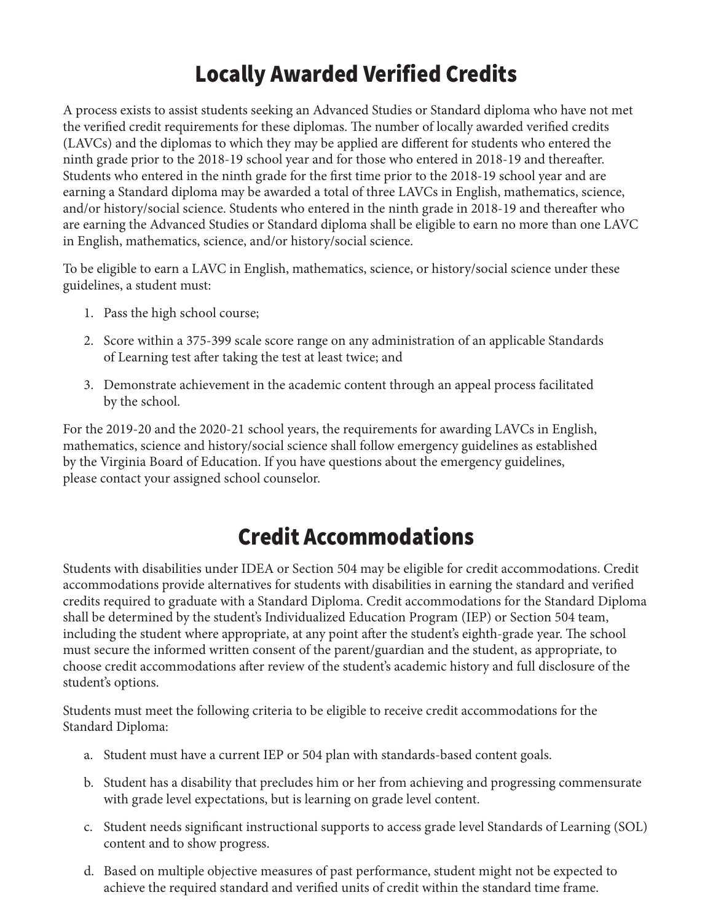# Locally Awarded Verified Credits

A process exists to assist students seeking an Advanced Studies or Standard diploma who have not met the verified credit requirements for these diplomas. The number of locally awarded verified credits (LAVCs) and the diplomas to which they may be applied are different for students who entered the ninth grade prior to the 2018-19 school year and for those who entered in 2018-19 and thereafter. Students who entered in the ninth grade for the first time prior to the 2018-19 school year and are earning a Standard diploma may be awarded a total of three LAVCs in English, mathematics, science, and/or history/social science. Students who entered in the ninth grade in 2018-19 and thereafter who are earning the Advanced Studies or Standard diploma shall be eligible to earn no more than one LAVC in English, mathematics, science, and/or history/social science.

To be eligible to earn a LAVC in English, mathematics, science, or history/social science under these guidelines, a student must:

- 1. Pass the high school course;
- 2. Score within a 375-399 scale score range on any administration of an applicable Standards of Learning test after taking the test at least twice; and
- 3. Demonstrate achievement in the academic content through an appeal process facilitated by the school.

For the 2019-20 and the 2020-21 school years, the requirements for awarding LAVCs in English, mathematics, science and history/social science shall follow emergency guidelines as established by the Virginia Board of Education. If you have questions about the emergency guidelines, please contact your assigned school counselor.

### Credit Accommodations

Students with disabilities under IDEA or Section 504 may be eligible for credit accommodations. Credit accommodations provide alternatives for students with disabilities in earning the standard and verified credits required to graduate with a Standard Diploma. Credit accommodations for the Standard Diploma shall be determined by the student's Individualized Education Program (IEP) or Section 504 team, including the student where appropriate, at any point after the student's eighth-grade year. The school must secure the informed written consent of the parent/guardian and the student, as appropriate, to choose credit accommodations after review of the student's academic history and full disclosure of the student's options.

Students must meet the following criteria to be eligible to receive credit accommodations for the Standard Diploma:

- a. Student must have a current IEP or 504 plan with standards-based content goals.
- b. Student has a disability that precludes him or her from achieving and progressing commensurate with grade level expectations, but is learning on grade level content.
- c. Student needs significant instructional supports to access grade level Standards of Learning (SOL) content and to show progress.
- d. Based on multiple objective measures of past performance, student might not be expected to achieve the required standard and verified units of credit within the standard time frame.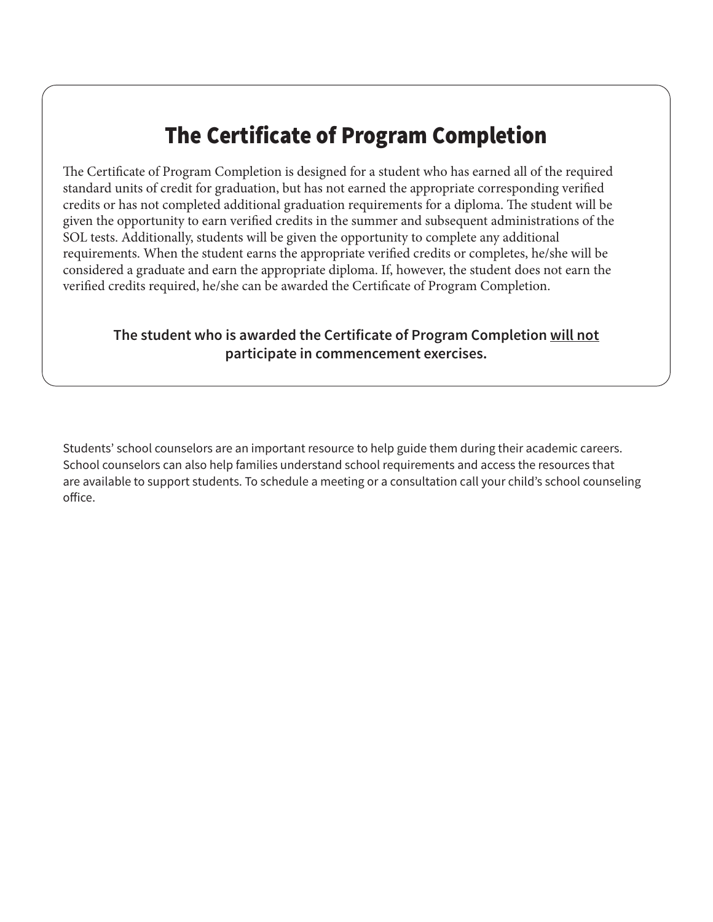## The Certificate of Program Completion

The Certificate of Program Completion is designed for a student who has earned all of the required standard units of credit for graduation, but has not earned the appropriate corresponding verified credits or has not completed additional graduation requirements for a diploma. The student will be given the opportunity to earn verified credits in the summer and subsequent administrations of the SOL tests. Additionally, students will be given the opportunity to complete any additional requirements. When the student earns the appropriate verified credits or completes, he/she will be considered a graduate and earn the appropriate diploma. If, however, the student does not earn the verified credits required, he/she can be awarded the Certificate of Program Completion.

### **The student who is awarded the Certificate of Program Completion will not participate in commencement exercises.**

Students' school counselors are an important resource to help guide them during their academic careers. School counselors can also help families understand school requirements and access the resources that are available to support students. To schedule a meeting or a consultation call your child's school counseling office.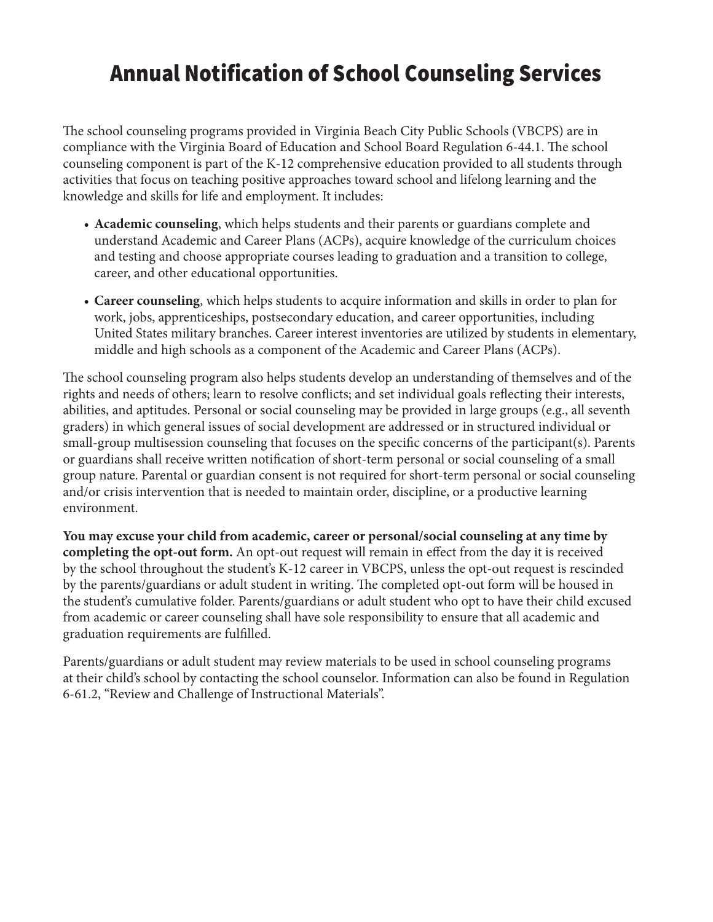### Annual Notification of School Counseling Services

The school counseling programs provided in Virginia Beach City Public Schools (VBCPS) are in compliance with the Virginia Board of Education and School Board Regulation 6-44.1. The school counseling component is part of the K-12 comprehensive education provided to all students through activities that focus on teaching positive approaches toward school and lifelong learning and the knowledge and skills for life and employment. It includes:

- **Academic counseling**, which helps students and their parents or guardians complete and understand Academic and Career Plans (ACPs), acquire knowledge of the curriculum choices and testing and choose appropriate courses leading to graduation and a transition to college, career, and other educational opportunities.
- **Career counseling**, which helps students to acquire information and skills in order to plan for work, jobs, apprenticeships, postsecondary education, and career opportunities, including United States military branches. Career interest inventories are utilized by students in elementary, middle and high schools as a component of the Academic and Career Plans (ACPs).

The school counseling program also helps students develop an understanding of themselves and of the rights and needs of others; learn to resolve conflicts; and set individual goals reflecting their interests, abilities, and aptitudes. Personal or social counseling may be provided in large groups (e.g., all seventh graders) in which general issues of social development are addressed or in structured individual or small-group multisession counseling that focuses on the specific concerns of the participant(s). Parents or guardians shall receive written notification of short-term personal or social counseling of a small group nature. Parental or guardian consent is not required for short-term personal or social counseling and/or crisis intervention that is needed to maintain order, discipline, or a productive learning environment.

**You may excuse your child from academic, career or personal/social counseling at any time by completing the opt-out form.** An opt-out request will remain in effect from the day it is received by the school throughout the student's K-12 career in VBCPS, unless the opt-out request is rescinded by the parents/guardians or adult student in writing. The completed opt-out form will be housed in the student's cumulative folder. Parents/guardians or adult student who opt to have their child excused from academic or career counseling shall have sole responsibility to ensure that all academic and graduation requirements are fulfilled.

Parents/guardians or adult student may review materials to be used in school counseling programs at their child's school by contacting the school counselor. Information can also be found in Regulation 6-61.2, "Review and Challenge of Instructional Materials".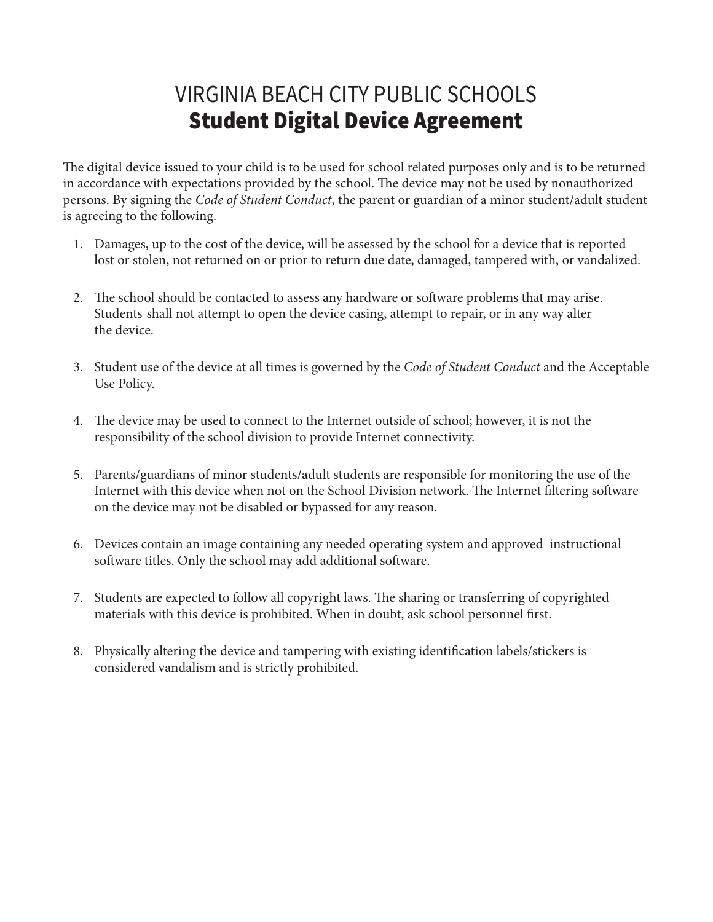### VIRGINIA BEACH CITY PUBLIC SCHOOLS Student Digital Device Agreement

The digital device issued to your child is to be used for school related purposes only and is to be returned in accordance with expectations provided by the school. The device may not be used by nonauthorized persons. By signing the *Code of Student Conduct*, the parent or guardian of a minor student/adult student is agreeing to the following.

- 1. Damages, up to the cost of the device, will be assessed by the school for a device that is reported lost or stolen, not returned on or prior to return due date, damaged, tampered with, or vandalized.
- 2. The school should be contacted to assess any hardware or software problems that may arise. Students shall not attempt to open the device casing, attempt to repair, or in any way alter the device.
- 3. Student use of the device at all times is governed by the *Code of Student Conduct* and the Acceptable Use Policy.
- 4. The device may be used to connect to the Internet outside of school; however, it is not the responsibility of the school division to provide Internet connectivity.
- 5. Parents/guardians of minor students/adult students are responsible for monitoring the use of the Internet with this device when not on the School Division network. The Internet filtering software on the device may not be disabled or bypassed for any reason.
- 6. Devices contain an image containing any needed operating system and approved instructional software titles. Only the school may add additional software.
- 7. Students are expected to follow all copyright laws. The sharing or transferring of copyrighted materials with this device is prohibited. When in doubt, ask school personnel first.
- 8. Physically altering the device and tampering with existing identification labels/stickers is considered vandalism and is strictly prohibited.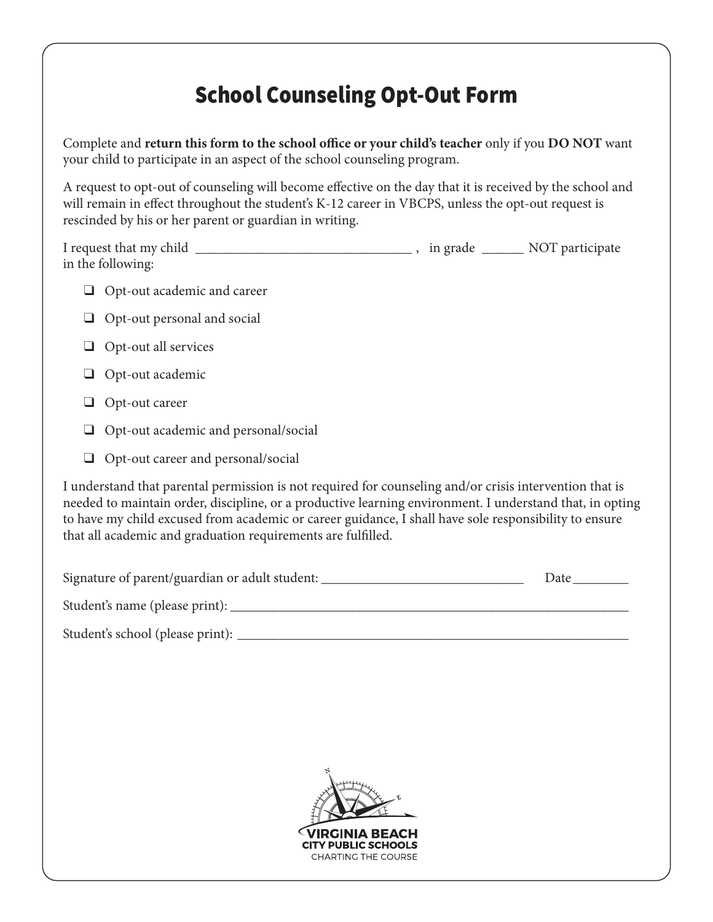## School Counseling Opt-Out Form

Complete and **return this form to the school office or your child's teacher** only if you **DO NOT** want your child to participate in an aspect of the school counseling program.

A request to opt-out of counseling will become effective on the day that it is received by the school and will remain in effect throughout the student's K-12 career in VBCPS, unless the opt-out request is rescinded by his or her parent or guardian in writing.

| I request that my child | in grade | NOT participate |
|-------------------------|----------|-----------------|
| in the following:       |          |                 |

- ❑ Opt-out academic and career
- ❑ Opt-out personal and social
- ❑ Opt-out all services
- ❑ Opt-out academic
- ❑ Opt-out career
- ❑ Opt-out academic and personal/social
- ❑ Opt-out career and personal/social

I understand that parental permission is not required for counseling and/or crisis intervention that is needed to maintain order, discipline, or a productive learning environment. I understand that, in opting to have my child excused from academic or career guidance, I shall have sole responsibility to ensure that all academic and graduation requirements are fulfilled.

| Signature of parent/guardian or adult student: | Date |
|------------------------------------------------|------|
| Student's name (please print):                 |      |

Student's school (please print): \_\_\_\_\_\_\_\_\_\_\_\_\_\_\_\_\_\_\_\_\_\_\_\_\_\_\_\_\_\_\_\_\_\_\_\_\_\_\_\_\_\_\_\_\_\_\_\_\_\_\_\_\_\_\_\_

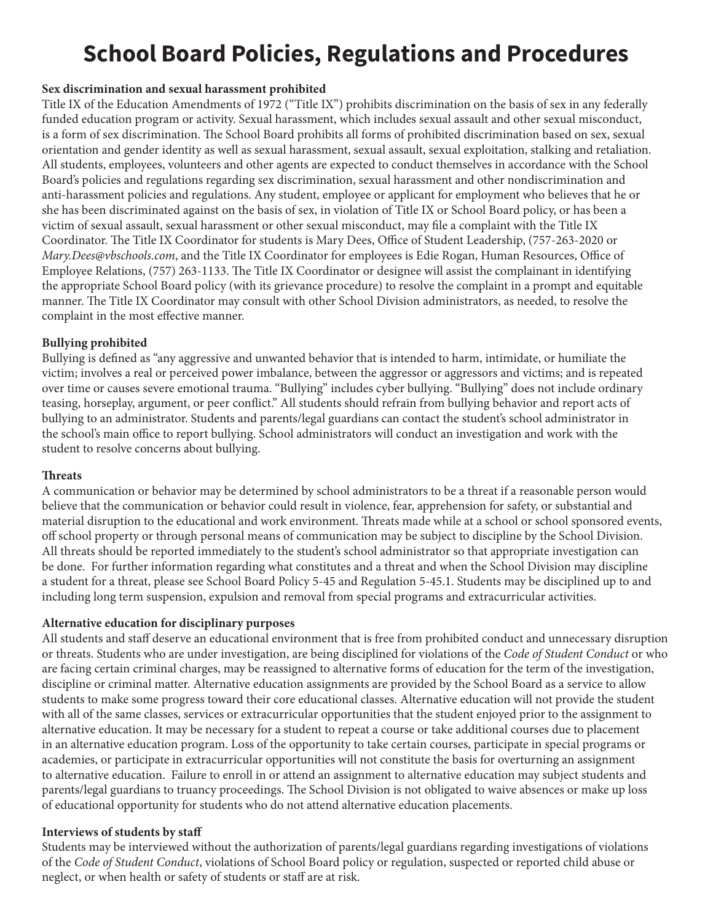# **School Board Policies, Regulations and Procedures**

#### **Sex discrimination and sexual harassment prohibited**

Title IX of the Education Amendments of 1972 ("Title IX") prohibits discrimination on the basis of sex in any federally funded education program or activity. Sexual harassment, which includes sexual assault and other sexual misconduct, is a form of sex discrimination. The School Board prohibits all forms of prohibited discrimination based on sex, sexual orientation and gender identity as well as sexual harassment, sexual assault, sexual exploitation, stalking and retaliation. All students, employees, volunteers and other agents are expected to conduct themselves in accordance with the School Board's policies and regulations regarding sex discrimination, sexual harassment and other nondiscrimination and anti-harassment policies and regulations. Any student, employee or applicant for employment who believes that he or she has been discriminated against on the basis of sex, in violation of Title IX or School Board policy, or has been a victim of sexual assault, sexual harassment or other sexual misconduct, may file a complaint with the Title IX Coordinator. The Title IX Coordinator for students is Mary Dees, Office of Student Leadership, (757-263-2020 or *Mary.Dees@vbschools.com*, and the Title IX Coordinator for employees is Edie Rogan, Human Resources, Office of Employee Relations, (757) 263-1133. The Title IX Coordinator or designee will assist the complainant in identifying the appropriate School Board policy (with its grievance procedure) to resolve the complaint in a prompt and equitable manner. The Title IX Coordinator may consult with other School Division administrators, as needed, to resolve the complaint in the most effective manner.

#### **Bullying prohibited**

Bullying is defined as "any aggressive and unwanted behavior that is intended to harm, intimidate, or humiliate the victim; involves a real or perceived power imbalance, between the aggressor or aggressors and victims; and is repeated over time or causes severe emotional trauma. "Bullying" includes cyber bullying. "Bullying" does not include ordinary teasing, horseplay, argument, or peer conflict." All students should refrain from bullying behavior and report acts of bullying to an administrator. Students and parents/legal guardians can contact the student's school administrator in the school's main office to report bullying. School administrators will conduct an investigation and work with the student to resolve concerns about bullying.

#### **Threats**

A communication or behavior may be determined by school administrators to be a threat if a reasonable person would believe that the communication or behavior could result in violence, fear, apprehension for safety, or substantial and material disruption to the educational and work environment. Threats made while at a school or school sponsored events, off school property or through personal means of communication may be subject to discipline by the School Division. All threats should be reported immediately to the student's school administrator so that appropriate investigation can be done. For further information regarding what constitutes and a threat and when the School Division may discipline a student for a threat, please see School Board Policy 5-45 and Regulation 5-45.1. Students may be disciplined up to and including long term suspension, expulsion and removal from special programs and extracurricular activities.

#### **Alternative education for disciplinary purposes**

All students and staff deserve an educational environment that is free from prohibited conduct and unnecessary disruption or threats. Students who are under investigation, are being disciplined for violations of the *Code of Student Conduct* or who are facing certain criminal charges, may be reassigned to alternative forms of education for the term of the investigation, discipline or criminal matter. Alternative education assignments are provided by the School Board as a service to allow students to make some progress toward their core educational classes. Alternative education will not provide the student with all of the same classes, services or extracurricular opportunities that the student enjoyed prior to the assignment to alternative education. It may be necessary for a student to repeat a course or take additional courses due to placement in an alternative education program. Loss of the opportunity to take certain courses, participate in special programs or academies, or participate in extracurricular opportunities will not constitute the basis for overturning an assignment to alternative education. Failure to enroll in or attend an assignment to alternative education may subject students and parents/legal guardians to truancy proceedings. The School Division is not obligated to waive absences or make up loss of educational opportunity for students who do not attend alternative education placements.

#### **Interviews of students by staff**

Students may be interviewed without the authorization of parents/legal guardians regarding investigations of violations of the *Code of Student Conduct*, violations of School Board policy or regulation, suspected or reported child abuse or neglect, or when health or safety of students or staff are at risk.